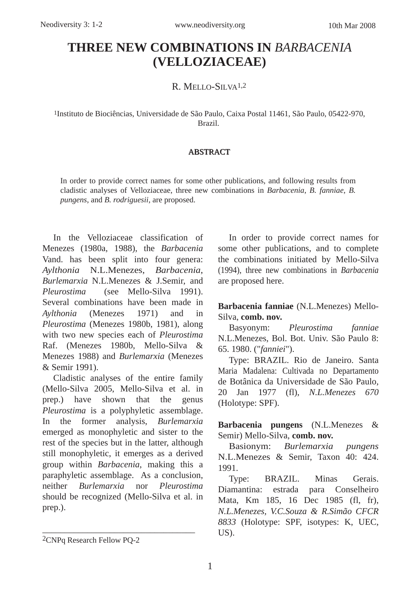## **THREE NEW COMBINATIONS IN** *BARBACENIA* **(VELLOZIACEAE)**

R. MELLO-SILVA1,2

1Instituto de Biociências, Universidade de São Paulo, Caixa Postal 11461, São Paulo, 05422-970, Brazil.

## ABSTRACT

In order to provide correct names for some other publications, and following results from cladistic analyses of Velloziaceae, three new combinations in *Barbacenia*, *B. fanniae*, *B. pungens*, and *B. rodriguesii*, are proposed.

In the Velloziaceae classification of Menezes (1980a, 1988), the *Barbacenia* Vand. has been split into four genera: *Aylthonia* N.L.Menezes, *Barbacenia*, *Burlemarxia* N.L.Menezes & J.Semir, and *Pleurostima* (see Mello-Silva 1991). Several combinations have been made in *Aylthonia* (Menezes 1971) and in *Pleurostima* (Menezes 1980b, 1981), along with two new species each of *Pleurostima* Raf. (Menezes 1980b, Mello-Silva & Menezes 1988) and *Burlemarxia* (Menezes & Semir 1991).

Cladistic analyses of the entire family (Mello-Silva 2005, Mello-Silva et al. in prep.) have shown that the genus *Pleurostima* is a polyphyletic assemblage. In the former analysis, *Burlemarxia* emerged as monophyletic and sister to the rest of the species but in the latter, although still monophyletic, it emerges as a derived group within *Barbacenia*, making this a paraphyletic assemblage. As a conclusion, neither *Burlemarxia* nor *Pleurostima* should be recognized (Mello-Silva et al. in prep.).

\_\_\_\_\_\_\_\_\_\_\_\_\_\_\_\_\_\_\_\_\_\_\_\_\_\_\_\_\_\_\_\_\_\_

In order to provide correct names for some other publications, and to complete the combinations initiated by Mello-Silva (1994), three new combinations in *Barbacenia* are proposed here.

**Barbacenia fanniae** (N.L.Menezes) Mello-Silva, **comb. nov.**

Basyonym: *Pleurostima fanniae* N.L.Menezes, Bol. Bot. Univ. São Paulo 8: 65. 1980. ("*fanniei*").

Type: BRAZIL. Rio de Janeiro. Santa Maria Madalena: Cultivada no Departamento de Botânica da Universidade de São Paulo, 20 Jan 1977 (fl), *N.L.Menezes 670* (Holotype: SPF).

**Barbacenia pungens** (N.L.Menezes & Semir) Mello-Silva, **comb. nov.**

Basionym: *Burlemarxia pungens* N.L.Menezes & Semir, Taxon 40: 424. 1991.

Type: BRAZIL. Minas Gerais. Diamantina: estrada para Conselheiro Mata, Km 185, 16 Dec 1985 (fl, fr), *N.L.Menezes, V.C.Souza & R.Simão CFCR 8833* (Holotype: SPF, isotypes: K, UEC, US).

<sup>2</sup>CNPq Research Fellow PQ-2